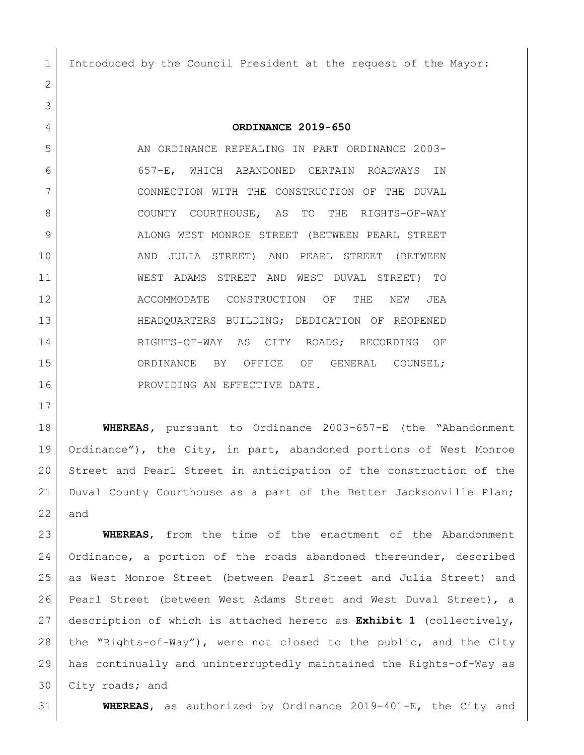Introduced by the Council President at the request of the Mayor:

**ORDINANCE 2019-650**

5 AN ORDINANCE REPEALING IN PART ORDINANCE 2003- 657-E, WHICH ABANDONED CERTAIN ROADWAYS IN CONNECTION WITH THE CONSTRUCTION OF THE DUVAL 8 COUNTY COURTHOUSE, AS TO THE RIGHTS-OF-WAY 9 ALONG WEST MONROE STREET (BETWEEN PEARL STREET AND JULIA STREET) AND PEARL STREET (BETWEEN WEST ADAMS STREET AND WEST DUVAL STREET) TO 12 ACCOMMODATE CONSTRUCTION OF THE NEW JEA HEADQUARTERS BUILDING; DEDICATION OF REOPENED RIGHTS-OF-WAY AS CITY ROADS; RECORDING OF 15 ORDINANCE BY OFFICE OF GENERAL COUNSEL; 16 PROVIDING AN EFFECTIVE DATE.

 **WHEREAS,** pursuant to Ordinance 2003-657-E (the "Abandonment Ordinance"), the City, in part, abandoned portions of West Monroe Street and Pearl Street in anticipation of the construction of the Duval County Courthouse as a part of the Better Jacksonville Plan; and

 **WHEREAS**, from the time of the enactment of the Abandonment Ordinance, a portion of the roads abandoned thereunder, described as West Monroe Street (between Pearl Street and Julia Street) and Pearl Street (between West Adams Street and West Duval Street), a description of which is attached hereto as **Exhibit 1** (collectively, the "Rights-of-Way"), were not closed to the public, and the City has continually and uninterruptedly maintained the Rights-of-Way as City roads; and

**WHEREAS**, as authorized by Ordinance 2019-401-E, the City and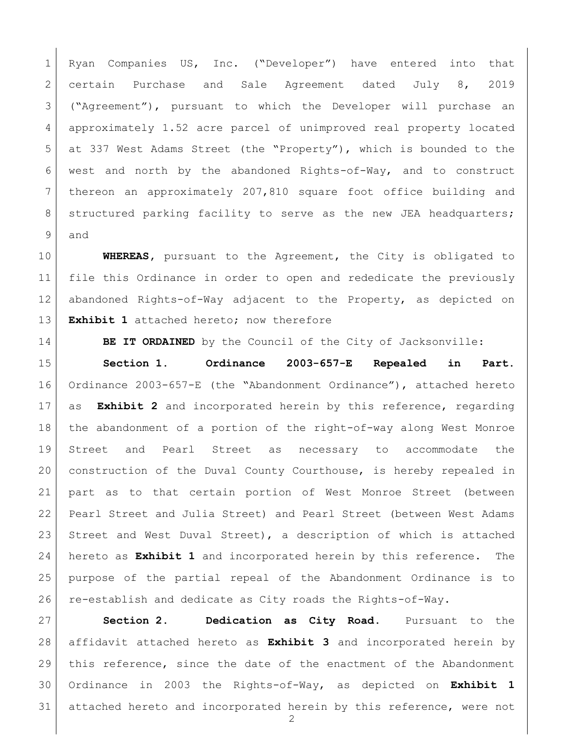Ryan Companies US, Inc. ("Developer") have entered into that certain Purchase and Sale Agreement dated July 8, 2019 ("Agreement"), pursuant to which the Developer will purchase an 4 approximately 1.52 acre parcel of unimproved real property located at 337 West Adams Street (the "Property"), which is bounded to the west and north by the abandoned Rights-of-Way, and to construct thereon an approximately 207,810 square foot office building and 8 | structured parking facility to serve as the new JEA headquarters; and

 **WHEREAS,** pursuant to the Agreement, the City is obligated to file this Ordinance in order to open and rededicate the previously abandoned Rights-of-Way adjacent to the Property, as depicted on **Exhibit 1** attached hereto; now therefore

**BE IT ORDAINED** by the Council of the City of Jacksonville:

 **Section 1. Ordinance 2003-657-E Repealed in Part.** Ordinance 2003-657-E (the "Abandonment Ordinance"), attached hereto as **Exhibit 2** and incorporated herein by this reference, regarding the abandonment of a portion of the right-of-way along West Monroe Street and Pearl Street as necessary to accommodate the construction of the Duval County Courthouse, is hereby repealed in part as to that certain portion of West Monroe Street (between Pearl Street and Julia Street) and Pearl Street (between West Adams 23 Street and West Duval Street), a description of which is attached hereto as **Exhibit 1** and incorporated herein by this reference. The purpose of the partial repeal of the Abandonment Ordinance is to re-establish and dedicate as City roads the Rights-of-Way.

 **Section 2. Dedication as City Road.** Pursuant to the affidavit attached hereto as **Exhibit 3** and incorporated herein by this reference, since the date of the enactment of the Abandonment Ordinance in 2003 the Rights-of-Way, as depicted on **Exhibit 1** attached hereto and incorporated herein by this reference, were not